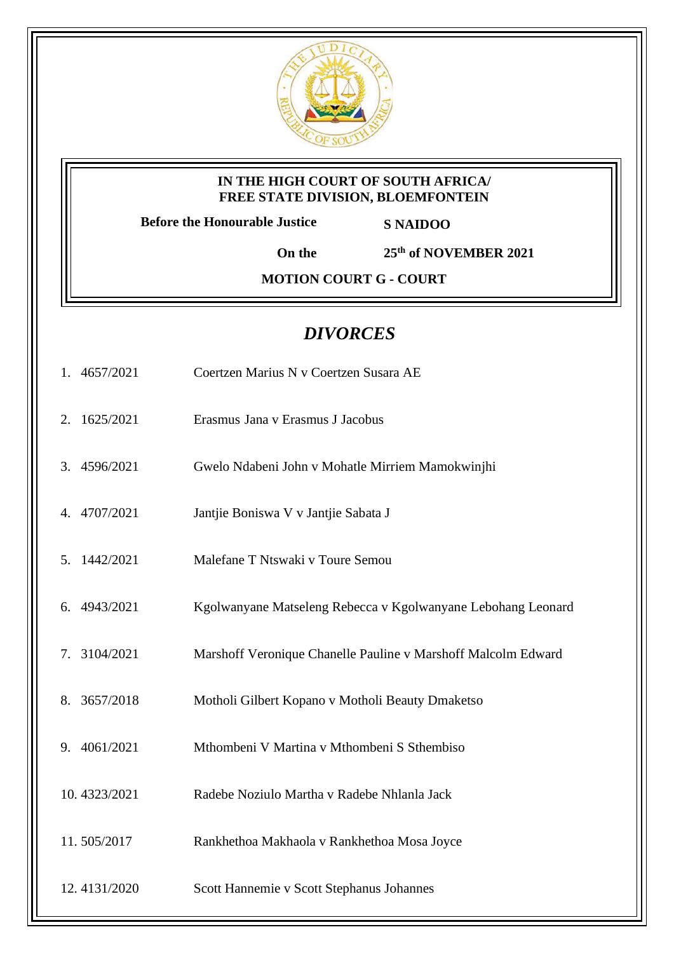

## **IN THE HIGH COURT OF SOUTH AFRICA/ FREE STATE DIVISION, BLOEMFONTEIN**

**Before the Honourable Justice S NAIDOO**

**On the 25th of NOVEMBER 2021**

**MOTION COURT G - COURT** 

## *DIVORCES*

- 1. 4657/2021 Coertzen Marius N v Coertzen Susara AE
- 2. 1625/2021 Erasmus Jana v Erasmus J Jacobus
- 3. 4596/2021 Gwelo Ndabeni John v Mohatle Mirriem Mamokwinjhi
- 4. 4707/2021 Jantjie Boniswa V v Jantjie Sabata J
- 5. 1442/2021 Malefane T Ntswaki v Toure Semou
- 6. 4943/2021 Kgolwanyane Matseleng Rebecca v Kgolwanyane Lebohang Leonard
- 7. 3104/2021 Marshoff Veronique Chanelle Pauline v Marshoff Malcolm Edward
- 8. 3657/2018 Motholi Gilbert Kopano v Motholi Beauty Dmaketso
- 9. 4061/2021 Mthombeni V Martina v Mthombeni S Sthembiso
- 10. 4323/2021 Radebe Noziulo Martha v Radebe Nhlanla Jack
- 11. 505/2017 Rankhethoa Makhaola v Rankhethoa Mosa Joyce
- 12. 4131/2020 Scott Hannemie v Scott Stephanus Johannes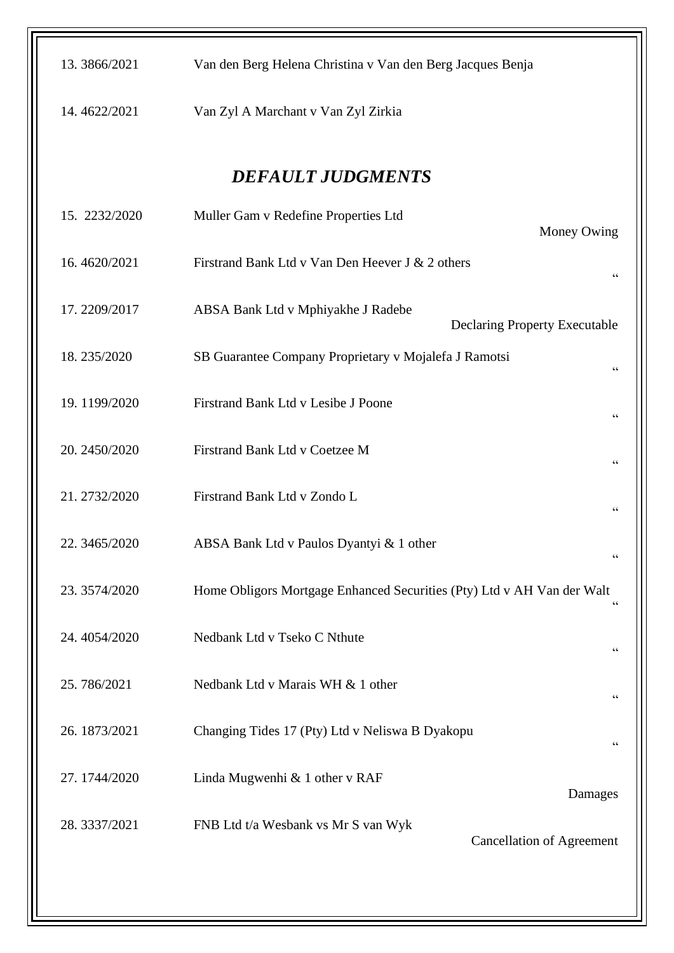| 13.3866/2021             | Van den Berg Helena Christina v Van den Berg Jacques Benja                               |  |  |  |  |
|--------------------------|------------------------------------------------------------------------------------------|--|--|--|--|
| 14.4622/2021             | Van Zyl A Marchant v Van Zyl Zirkia                                                      |  |  |  |  |
| <b>DEFAULT JUDGMENTS</b> |                                                                                          |  |  |  |  |
| 15. 2232/2020            | Muller Gam v Redefine Properties Ltd<br>Money Owing                                      |  |  |  |  |
| 16.4620/2021             | Firstrand Bank Ltd v Van Den Heever J & 2 others<br>$\mbox{\bf G}$                       |  |  |  |  |
| 17.2209/2017             | ABSA Bank Ltd v Mphiyakhe J Radebe<br><b>Declaring Property Executable</b>               |  |  |  |  |
| 18.235/2020              | SB Guarantee Company Proprietary v Mojalefa J Ramotsi<br>$\mbox{\bf G}$                  |  |  |  |  |
| 19.1199/2020             | Firstrand Bank Ltd v Lesibe J Poone<br>$\zeta$ $\zeta$                                   |  |  |  |  |
| 20. 2450/2020            | Firstrand Bank Ltd v Coetzee M<br>$\mbox{\bf G}$                                         |  |  |  |  |
| 21.2732/2020             | Firstrand Bank Ltd v Zondo L<br>$\mbox{\bf G}$                                           |  |  |  |  |
| 22.3465/2020             | ABSA Bank Ltd v Paulos Dyantyi & 1 other<br>$\mbox{\bf G}$                               |  |  |  |  |
| 23.3574/2020             | Home Obligors Mortgage Enhanced Securities (Pty) Ltd v AH Van der Walt<br>$\mbox{\bf G}$ |  |  |  |  |
| 24.4054/2020             | Nedbank Ltd v Tseko C Nthute<br>$\zeta\,\zeta$                                           |  |  |  |  |
| 25.786/2021              | Nedbank Ltd v Marais WH & 1 other<br>$\mbox{\bf G}$                                      |  |  |  |  |
| 26.1873/2021             | Changing Tides 17 (Pty) Ltd v Neliswa B Dyakopu<br>$\zeta$ $\zeta$                       |  |  |  |  |
| 27.1744/2020             | Linda Mugwenhi & 1 other v RAF<br>Damages                                                |  |  |  |  |
| 28.3337/2021             | FNB Ltd t/a Wesbank vs Mr S van Wyk<br><b>Cancellation of Agreement</b>                  |  |  |  |  |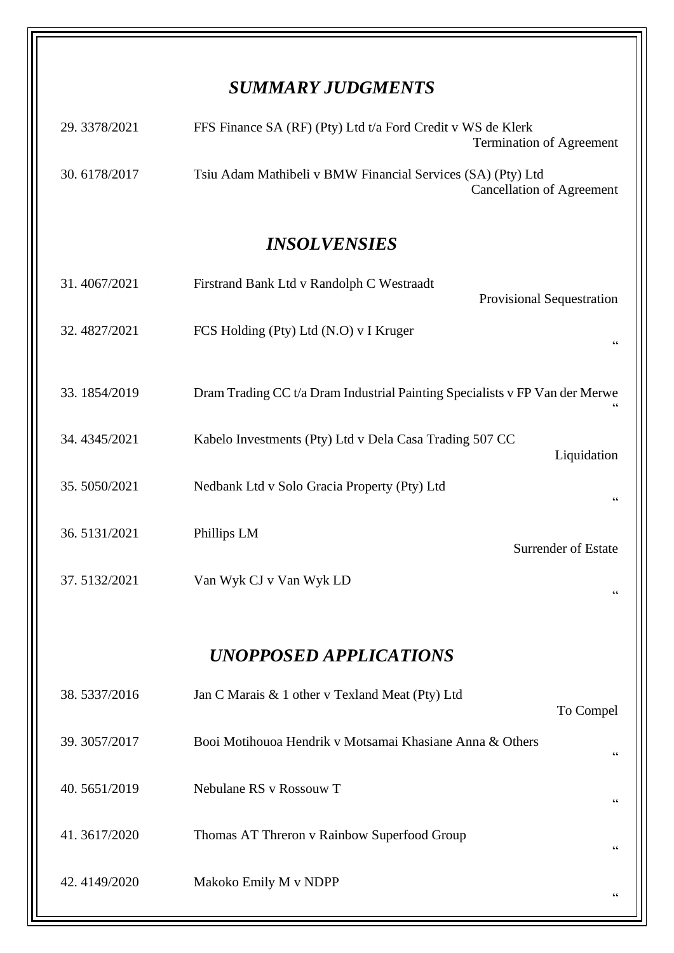## *SUMMARY JUDGMENTS*

| 29.3378/2021 | FFS Finance SA (RF) (Pty) Ltd t/a Ford Credit v WS de Klerk<br><b>Termination of Agreement</b> |
|--------------|------------------------------------------------------------------------------------------------|
| 30.6178/2017 | Tsiu Adam Mathibeli v BMW Financial Services (SA) (Pty) Ltd<br>Cancellation of Agreement       |

## *INSOLVENSIES*

| 31.4067/2021                  | Firstrand Bank Ltd v Randolph C Westraadt<br><b>Provisional Sequestration</b>        |  |  |  |  |
|-------------------------------|--------------------------------------------------------------------------------------|--|--|--|--|
| 32.4827/2021                  | FCS Holding (Pty) Ltd (N.O) v I Kruger                                               |  |  |  |  |
| 33.1854/2019                  | Dram Trading CC t/a Dram Industrial Painting Specialists v FP Van der Merwe          |  |  |  |  |
| 34.4345/2021                  | Kabelo Investments (Pty) Ltd v Dela Casa Trading 507 CC<br>Liquidation               |  |  |  |  |
| 35.5050/2021                  | Nedbank Ltd v Solo Gracia Property (Pty) Ltd<br>$\textsf{G}\,\textsf{G}$             |  |  |  |  |
| 36.5131/2021                  | Phillips LM<br><b>Surrender of Estate</b>                                            |  |  |  |  |
| 37.5132/2021                  | Van Wyk CJ v Van Wyk LD<br>66                                                        |  |  |  |  |
|                               |                                                                                      |  |  |  |  |
| <b>UNOPPOSED APPLICATIONS</b> |                                                                                      |  |  |  |  |
| 38.5337/2016                  | Jan C Marais & 1 other v Texland Meat (Pty) Ltd<br>To Compel                         |  |  |  |  |
| 39.3057/2017                  | Booi Motihouoa Hendrik v Motsamai Khasiane Anna & Others<br>$\textsf{G}\,\textsf{G}$ |  |  |  |  |
| 40.5651/2019                  | Nebulane RS v Rossouw T<br>$\mbox{\bf G}$                                            |  |  |  |  |
| 41.3617/2020                  | Thomas AT Threron v Rainbow Superfood Group<br>$\textsf{G}\,\textsf{G}$              |  |  |  |  |
| 42.4149/2020                  | Makoko Emily M v NDPP<br>$\!\!\!\zeta\,\zeta\!\!\!\zeta\!\!\!\zeta$                  |  |  |  |  |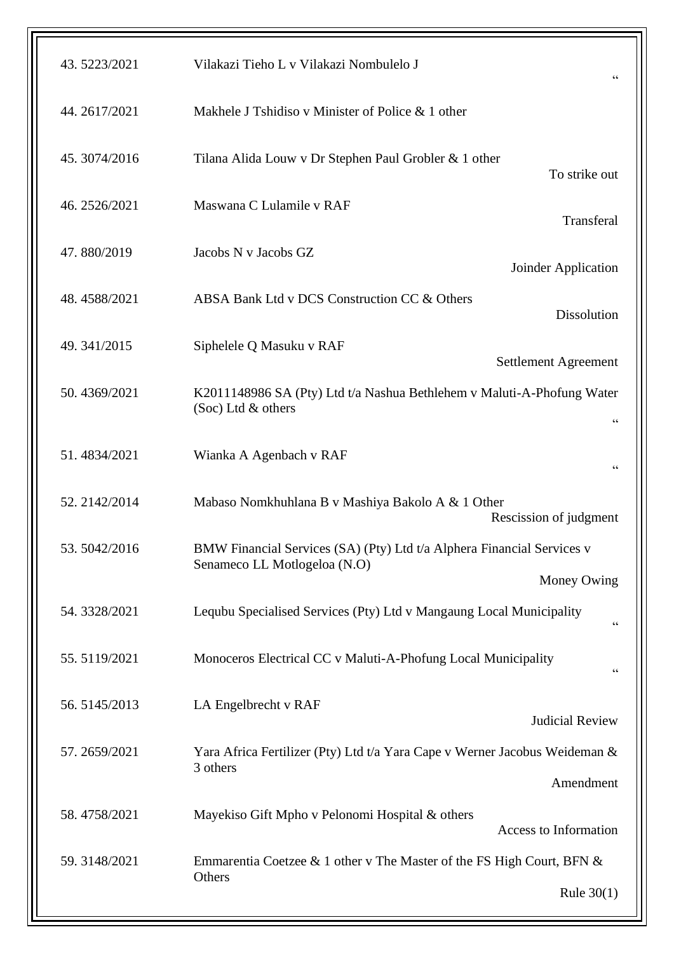| 43.5223/2021 | Vilakazi Tieho L v Vilakazi Nombulelo J<br>$\zeta\,\zeta$                                                                |  |
|--------------|--------------------------------------------------------------------------------------------------------------------------|--|
| 44.2617/2021 | Makhele J Tshidiso v Minister of Police & 1 other                                                                        |  |
| 45.3074/2016 | Tilana Alida Louw v Dr Stephen Paul Grobler & 1 other<br>To strike out                                                   |  |
| 46.2526/2021 | Maswana C Lulamile v RAF<br>Transferal                                                                                   |  |
| 47.880/2019  | Jacobs N v Jacobs GZ<br>Joinder Application                                                                              |  |
| 48.4588/2021 | ABSA Bank Ltd v DCS Construction CC & Others<br><b>Dissolution</b>                                                       |  |
| 49.341/2015  | Siphelele Q Masuku v RAF<br>Settlement Agreement                                                                         |  |
| 50.4369/2021 | K2011148986 SA (Pty) Ltd t/a Nashua Bethlehem v Maluti-A-Phofung Water<br>(Soc) Ltd & others<br>$\zeta\,\zeta$           |  |
| 51.4834/2021 | Wianka A Agenbach v RAF<br>$\zeta \, \zeta$                                                                              |  |
| 52.2142/2014 | Mabaso Nomkhuhlana B v Mashiya Bakolo A & 1 Other<br>Rescission of judgment                                              |  |
| 53.5042/2016 | BMW Financial Services (SA) (Pty) Ltd t/a Alphera Financial Services v<br>Senameco LL Motlogeloa (N.O)<br>Money Owing    |  |
| 54.3328/2021 | Lequbu Specialised Services (Pty) Ltd v Mangaung Local Municipality<br>$\zeta$ $\zeta$                                   |  |
| 55.5119/2021 | Monoceros Electrical CC v Maluti-A-Phofung Local Municipality<br>$\zeta$ $\zeta$                                         |  |
| 56.5145/2013 | LA Engelbrecht v RAF<br><b>Judicial Review</b>                                                                           |  |
| 57.2659/2021 | Yara Africa Fertilizer (Pty) Ltd t/a Yara Cape v Werner Jacobus Weideman &<br>3 others                                   |  |
| 58.4758/2021 | Amendment<br>Mayekiso Gift Mpho v Pelonomi Hospital & others                                                             |  |
| 59.3148/2021 | Access to Information<br>Emmarentia Coetzee & 1 other v The Master of the FS High Court, BFN &<br>Others<br>Rule $30(1)$ |  |